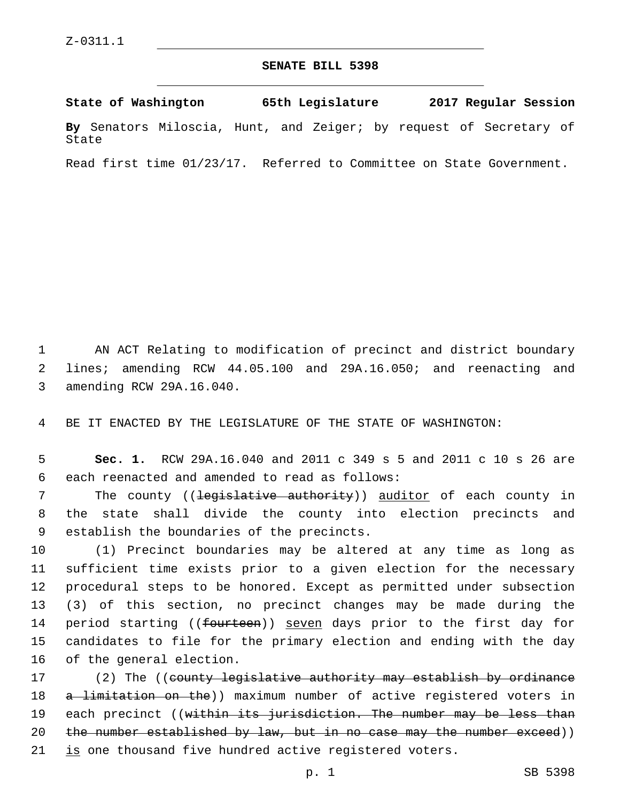## **SENATE BILL 5398**

**State of Washington 65th Legislature 2017 Regular Session By** Senators Miloscia, Hunt, and Zeiger; by request of Secretary of State

Read first time 01/23/17. Referred to Committee on State Government.

1 AN ACT Relating to modification of precinct and district boundary 2 lines; amending RCW 44.05.100 and 29A.16.050; and reenacting and 3 amending RCW 29A.16.040.

4 BE IT ENACTED BY THE LEGISLATURE OF THE STATE OF WASHINGTON:

5 **Sec. 1.** RCW 29A.16.040 and 2011 c 349 s 5 and 2011 c 10 s 26 are 6 each reenacted and amended to read as follows:

7 The county ((legislative authority)) auditor of each county in 8 the state shall divide the county into election precincts and 9 establish the boundaries of the precincts.

 (1) Precinct boundaries may be altered at any time as long as sufficient time exists prior to a given election for the necessary procedural steps to be honored. Except as permitted under subsection (3) of this section, no precinct changes may be made during the 14 period starting ((fourteen)) seven days prior to the first day for candidates to file for the primary election and ending with the day 16 of the general election.

17 (2) The ((<del>county legislative authority may establish by ordinance</del> 18 a limitation on the)) maximum number of active registered voters in 19 each precinct ((within its jurisdiction. The number may be less than 20 the number established by law, but in no case may the number exceed)) 21 is one thousand five hundred active registered voters.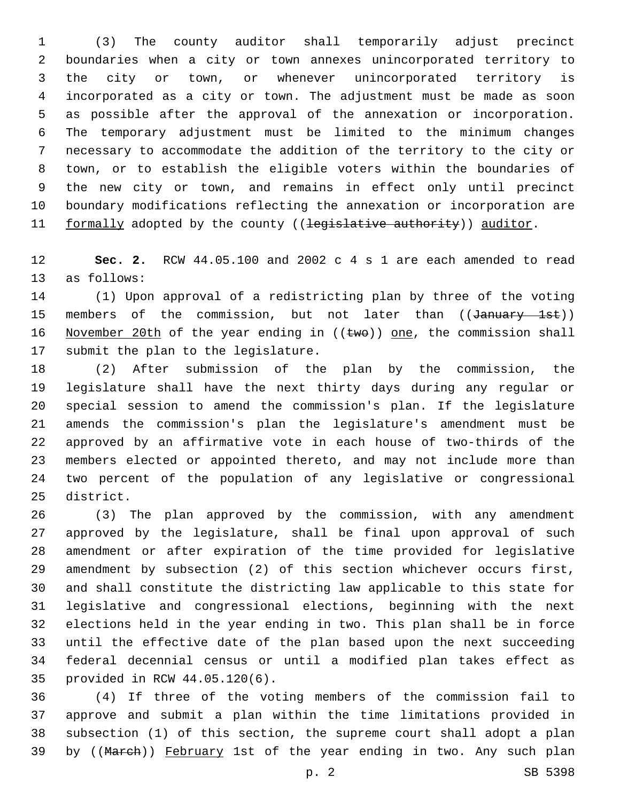(3) The county auditor shall temporarily adjust precinct boundaries when a city or town annexes unincorporated territory to the city or town, or whenever unincorporated territory is incorporated as a city or town. The adjustment must be made as soon as possible after the approval of the annexation or incorporation. The temporary adjustment must be limited to the minimum changes necessary to accommodate the addition of the territory to the city or town, or to establish the eligible voters within the boundaries of the new city or town, and remains in effect only until precinct boundary modifications reflecting the annexation or incorporation are 11 formally adopted by the county ((legislative authority)) auditor.

 **Sec. 2.** RCW 44.05.100 and 2002 c 4 s 1 are each amended to read 13 as follows:

 (1) Upon approval of a redistricting plan by three of the voting 15 members of the commission, but not later than ((January 1st)) 16 November 20th of the year ending in  $((\text{two}))$  one, the commission shall 17 submit the plan to the legislature.

 (2) After submission of the plan by the commission, the legislature shall have the next thirty days during any regular or special session to amend the commission's plan. If the legislature amends the commission's plan the legislature's amendment must be approved by an affirmative vote in each house of two-thirds of the members elected or appointed thereto, and may not include more than two percent of the population of any legislative or congressional 25 district.

 (3) The plan approved by the commission, with any amendment approved by the legislature, shall be final upon approval of such amendment or after expiration of the time provided for legislative amendment by subsection (2) of this section whichever occurs first, and shall constitute the districting law applicable to this state for legislative and congressional elections, beginning with the next elections held in the year ending in two. This plan shall be in force until the effective date of the plan based upon the next succeeding federal decennial census or until a modified plan takes effect as provided in RCW 44.05.120(6).35

 (4) If three of the voting members of the commission fail to approve and submit a plan within the time limitations provided in subsection (1) of this section, the supreme court shall adopt a plan 39 by ((March)) February 1st of the year ending in two. Any such plan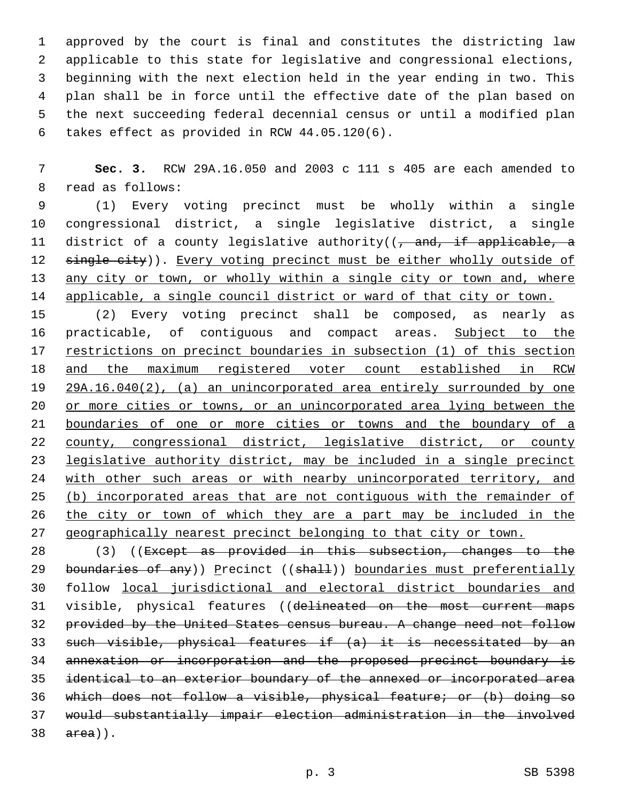approved by the court is final and constitutes the districting law applicable to this state for legislative and congressional elections, beginning with the next election held in the year ending in two. This plan shall be in force until the effective date of the plan based on the next succeeding federal decennial census or until a modified plan 6 takes effect as provided in RCW  $44.05.120(6)$ .

 **Sec. 3.** RCW 29A.16.050 and 2003 c 111 s 405 are each amended to 8 read as follows:

 (1) Every voting precinct must be wholly within a single congressional district, a single legislative district, a single 11 district of a county legislative authority((, and, if applicable, a 12 single city)). Every voting precinct must be either wholly outside of 13 any city or town, or wholly within a single city or town and, where applicable, a single council district or ward of that city or town.

 (2) Every voting precinct shall be composed, as nearly as 16 practicable, of contiguous and compact areas. Subject to the restrictions on precinct boundaries in subsection (1) of this section and the maximum registered voter count established in RCW 29A.16.040(2), (a) an unincorporated area entirely surrounded by one or more cities or towns, or an unincorporated area lying between the boundaries of one or more cities or towns and the boundary of a county, congressional district, legislative district, or county legislative authority district, may be included in a single precinct 24 with other such areas or with nearby unincorporated territory, and (b) incorporated areas that are not contiguous with the remainder of the city or town of which they are a part may be included in the geographically nearest precinct belonging to that city or town.

28 (3) ((Except as provided in this subsection, changes to the 29 boundaries of any)) Precinct ((shall)) boundaries must preferentially follow local jurisdictional and electoral district boundaries and 31 visible, physical features ((delineated on the most current maps provided by the United States census bureau. A change need not follow such visible, physical features if (a) it is necessitated by an annexation or incorporation and the proposed precinct boundary is identical to an exterior boundary of the annexed or incorporated area which does not follow a visible, physical feature; or (b) doing so would substantially impair election administration in the involved  $38 \quad \text{area}$ ).